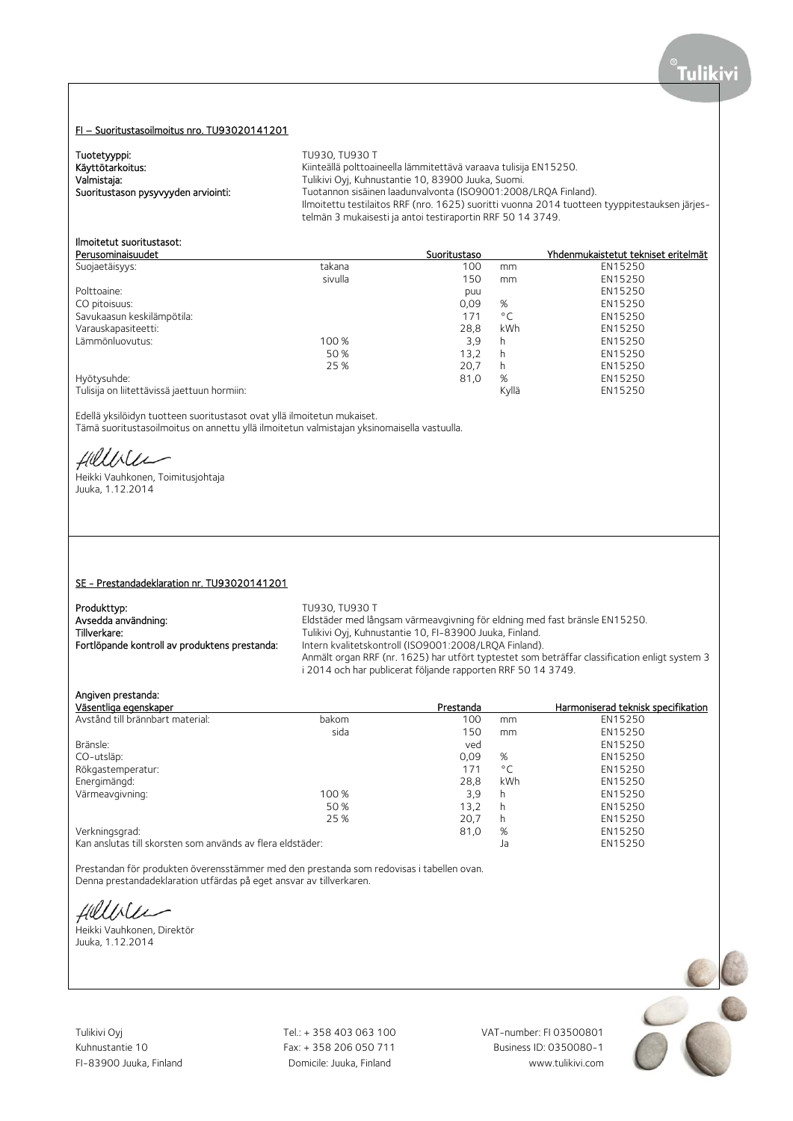#### FI – Suoritustasoilmoitus nro. TU93020141201

| Tuotetyyppi:                        | TU930, TU930 T                                                                                |
|-------------------------------------|-----------------------------------------------------------------------------------------------|
| Käyttötarkoitus:                    | Kiinteällä polttoaineella lämmitettävä varaava tulisija EN15250.                              |
| Valmistaja:                         | Tulikivi Oyi, Kuhnustantie 10, 83900 Juuka, Suomi.                                            |
| Suoritustason pysyvyyden arviointi: | Tuotannon sisäinen laadunvalvonta (ISO9001:2008/LROA Finland).                                |
|                                     | Ilmoitettu testilaitos RRF (nro. 1625) suoritti vuonna 2014 tuotteen tyyppitestauksen järjes- |
|                                     | telmän 3 mukaisesti ja antoi testiraportin RRF 50 14 3749.                                    |

# Ilmoitetut suoritustasot:

| Perusominaisuudet                           |         | Suoritustaso |              | Yhdenmukaistetut tekniset eritelmät |
|---------------------------------------------|---------|--------------|--------------|-------------------------------------|
| Suojaetäisyys:                              | takana  | 100          | mm           | EN15250                             |
|                                             | sivulla | 150          | mm           | EN15250                             |
| Polttoaine:                                 |         | puu          |              | EN15250                             |
| CO pitoisuus:                               |         | 0,09         | %            | EN15250                             |
| Savukaasun keskilämpötila:                  |         | 171          | $^{\circ}$ C | EN15250                             |
| Varauskapasiteetti:                         |         | 28,8         | <b>kWh</b>   | EN15250                             |
| Lämmönluovutus:                             | 100 %   | 3,9          | h            | EN15250                             |
|                                             | 50 %    | 13,2         | h            | EN15250                             |
|                                             | 25 %    | 20,7         | h            | EN15250                             |
| Hyötysuhde:                                 |         | 81,0         | %            | EN15250                             |
| Tulisija on liitettävissä jaettuun hormiin: |         |              | Kyllä        | EN15250                             |

Edellä yksilöidyn tuotteen suoritustasot ovat yllä ilmoitetun mukaiset. Tämä suoritustasoilmoitus on annettu yllä ilmoitetun valmistajan yksinomaisella vastuulla.

Hillbler

Heikki Vauhkonen, Toimitusjohtaja Juuka, 1.12.2014

#### SE - Prestandadeklaration nr. TU93020141201

| Produkttyp:                                   |
|-----------------------------------------------|
| Avsedda användning:                           |
| Tillverkare:                                  |
| Fortlöpande kontroll av produktens prestanda: |

TU930, TU930 T Eldstäder med långsam värmeavgivning för eldning med fast bränsle EN15250. Tulikivi Oyj, Kuhnustantie 10, FI-83900 Juuka, Finland. Intern kvalitetskontroll (ISO9001:2008/LRQA Finland). Anmält organ RRF (nr. 1625) har utfört typtestet som beträffar classification enligt system 3 i 2014 och har publicerat följande rapporten RRF 50 14 3749.

#### Angiven prestanda:

| Väsentliga egenskaper                                      |       | Prestanda |              | Harmoniserad teknisk specifikation |
|------------------------------------------------------------|-------|-----------|--------------|------------------------------------|
| Avstånd till brännbart material:                           | bakom | 100       | mm           | EN15250                            |
|                                                            | sida  | 150       | mm           | EN15250                            |
| Bränsle:                                                   |       | ved       |              | EN15250                            |
| CO-utsläp:                                                 |       | 0.09      | %            | EN15250                            |
| Rökgastemperatur:                                          |       | 171       | $^{\circ}$ C | EN15250                            |
| Energimängd:                                               |       | 28.8      | <b>kWh</b>   | EN15250                            |
| Värmeavgivning:                                            | 100 % | 3,9       | h            | EN15250                            |
|                                                            | 50 %  | 13.2      | h            | EN15250                            |
|                                                            | 25 %  | 20.7      | h            | EN15250                            |
| Verkningsgrad:                                             |       | 81,0      | %            | EN15250                            |
| Kan anslutas till skorsten som används av flera eldstäder: |       |           | Ja           | EN15250                            |

Prestandan för produkten överensstämmer med den prestanda som redovisas i tabellen ovan. Denna prestandadeklaration utfärdas på eget ansvar av tillverkaren.

fillble

Heikki Vauhkonen, Direktör Juuka, 1.12.2014

Tulikivi Oyj Tel.: + 358 403 063 100 VAT-number: FI 03500801

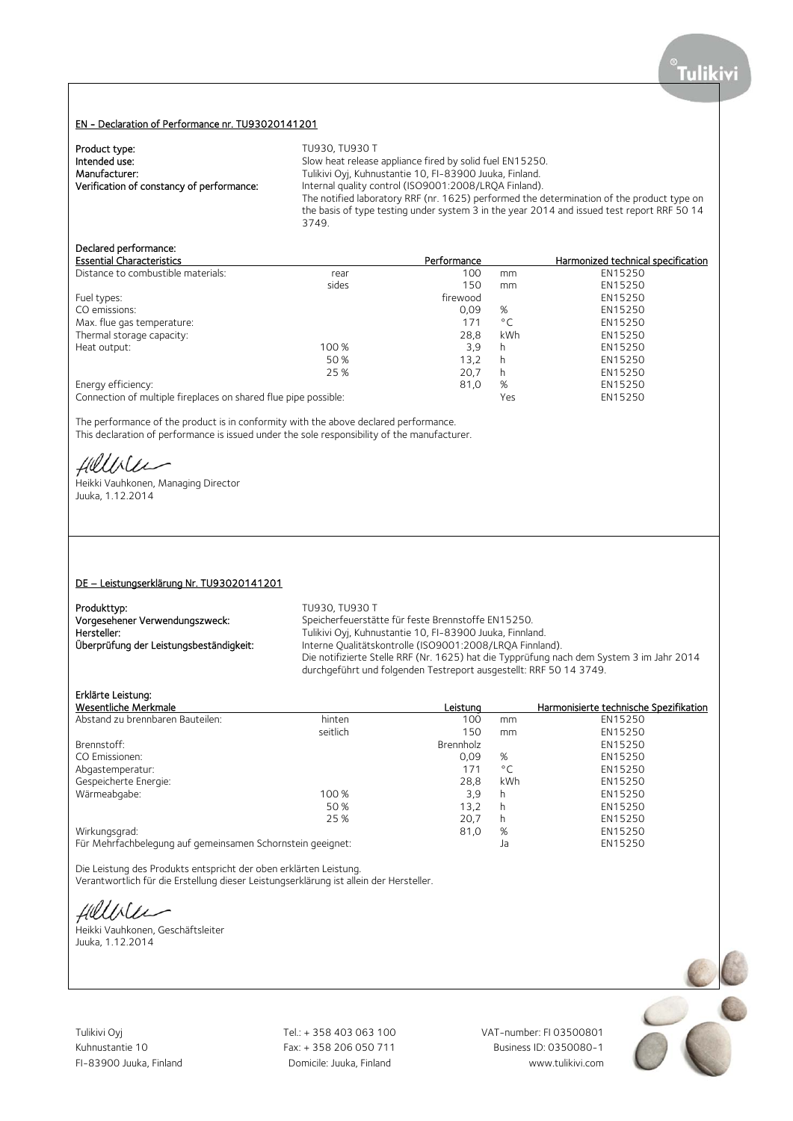## EN - Declaration of Performance nr. TU93020141201

| Product type:                             | TU930, TU930 T                                                                             |
|-------------------------------------------|--------------------------------------------------------------------------------------------|
| Intended use:                             | Slow heat release appliance fired by solid fuel EN15250.                                   |
| Manufacturer:                             | Tulikivi Oyj, Kuhnustantie 10, FI-83900 Juuka, Finland.                                    |
| Verification of constancy of performance: | Internal quality control (ISO9001:2008/LRQA Finland).                                      |
|                                           | The notified laboratory RRF (nr. 1625) performed the determination of the product type on  |
|                                           | the basis of type testing under system 3 in the year 2014 and issued test report RRF 50 14 |
|                                           | 3749.                                                                                      |

# Declared performance:

| <b>Essential Characteristics</b>                                |       | Performance |              | Harmonized technical specification |
|-----------------------------------------------------------------|-------|-------------|--------------|------------------------------------|
| Distance to combustible materials:                              | rear  | 100         | mm           | EN15250                            |
|                                                                 | sides | 150         | mm           | EN15250                            |
| Fuel types:                                                     |       | firewood    |              | EN15250                            |
| CO emissions:                                                   |       | 0.09        | %            | EN15250                            |
| Max. flue gas temperature:                                      |       | 171         | $^{\circ}$ C | EN15250                            |
| Thermal storage capacity:                                       |       | 28.8        | kWh          | EN15250                            |
| Heat output:                                                    | 100 % | 3.9         | h            | EN15250                            |
|                                                                 | 50 %  | 13.2        | h            | EN15250                            |
|                                                                 | 25 %  | 20,7        | h            | EN15250                            |
| Energy efficiency:                                              |       | 81,0        | %            | EN15250                            |
| Connection of multiple fireplaces on shared flue pipe possible: |       |             | Yes          | EN15250                            |

The performance of the product is in conformity with the above declared performance. This declaration of performance is issued under the sole responsibility of the manufacturer.

Hillblu

Heikki Vauhkonen, Managing Director Juuka, 1.12.2014

#### DE – Leistungserklärung Nr. TU93020141201

| Produkttyp:                             | TU930, TU930 T                                                                           |
|-----------------------------------------|------------------------------------------------------------------------------------------|
| Vorgesehener Verwendungszweck:          | Speicherfeuerstätte für feste Brennstoffe EN15250.                                       |
| Hersteller:                             | Tulikivi Oyj, Kuhnustantie 10, FI-83900 Juuka, Finnland.                                 |
| Überprüfung der Leistungsbeständigkeit: | Interne Qualitätskontrolle (ISO9001:2008/LRQA Finnland).                                 |
|                                         | Die notifizierte Stelle RRF (Nr. 1625) hat die Typprüfung nach dem System 3 im Jahr 2014 |
|                                         | durchgeführt und folgenden Testreport ausgestellt: RRF 50 14 3749.                       |

# Erklärte Leistung:

| Wesentliche Merkmale                                       |          | Leistuna  |              | Harmonisierte technische Spezifikation |
|------------------------------------------------------------|----------|-----------|--------------|----------------------------------------|
| Abstand zu brennbaren Bauteilen:                           | hinten   | 100       | mm           | EN15250                                |
|                                                            | seitlich | 150       | mm           | EN15250                                |
| Brennstoff:                                                |          | Brennholz |              | EN15250                                |
| CO Emissionen:                                             |          | 0,09      | %            | EN15250                                |
| Abgastemperatur:                                           |          | 171       | $^{\circ}$ C | EN15250                                |
| Gespeicherte Energie:                                      |          | 28,8      | kWh          | EN15250                                |
| Wärmeabgabe:                                               | 100 %    | 3,9       | h            | EN15250                                |
|                                                            | 50 %     | 13.2      | h            | EN15250                                |
|                                                            | 25 %     | 20,7      | h            | EN15250                                |
| Wirkungsgrad:                                              |          | 81,0      | %            | EN15250                                |
| Für Mehrfachbelegung auf gemeinsamen Schornstein geeignet: |          |           | Ja           | EN15250                                |

Die Leistung des Produkts entspricht der oben erklärten Leistung. Verantwortlich für die Erstellung dieser Leistungserklärung ist allein der Hersteller.

Hillblu

Heikki Vauhkonen, Geschäftsleiter Juuka, 1.12.2014

Tulikivi Oyj Tel.: + 358 403 063 100 VAT-number: FI 03500801

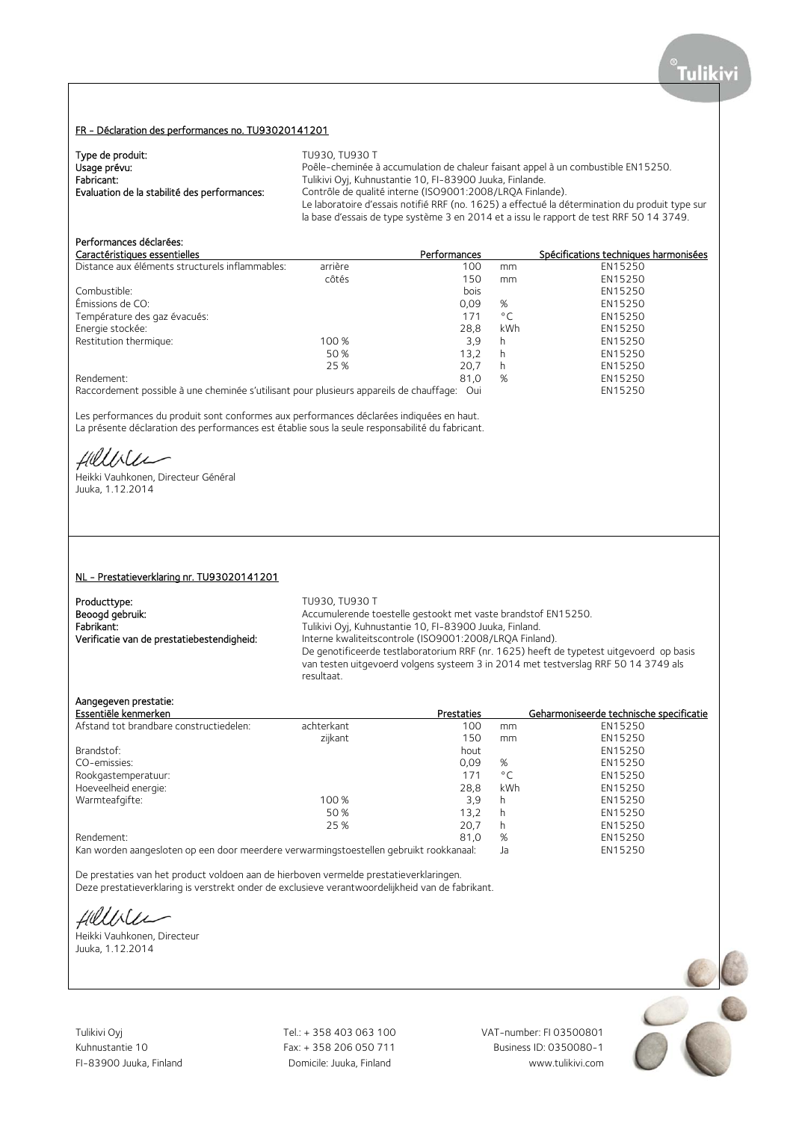### FR - Déclaration des performances no. TU93020141201

| Type de produit:                             | TU930. TU930 T                                                                                 |
|----------------------------------------------|------------------------------------------------------------------------------------------------|
| Usage prévu:                                 | Poêle-cheminée à accumulation de chaleur faisant appel à un combustible EN15250.               |
| Fabricant:                                   | Tulikivi Oyj, Kuhnustantie 10, FI-83900 Juuka, Finlande.                                       |
| Evaluation de la stabilité des performances: | Contrôle de qualité interne (ISO9001:2008/LROA Finlande).                                      |
|                                              | Le laboratoire d'essais notifié RRF (no. 1625) a effectué la détermination du produit type sur |
|                                              | la base d'essais de type système 3 en 2014 et a issu le rapport de test RRF 50 14 3749.        |

# Performances déclarées:

| Caractéristiques essentielles                   |         | Performances |              | Spécifications techniques harmonisées |
|-------------------------------------------------|---------|--------------|--------------|---------------------------------------|
| Distance aux éléments structurels inflammables: | arrière | 100          | mm           | EN15250                               |
|                                                 | côtés   | 150          | mm           | EN15250                               |
| Combustible:                                    |         | bois         |              | EN15250                               |
| Émissions de CO:                                |         | 0.09         | %            | EN15250                               |
| Température des gaz évacués:                    |         | 171          | $^{\circ}$ C | EN15250                               |
| Energie stockée:                                |         | 28.8         | kWh          | EN15250                               |
| Restitution thermique:                          | 100 %   | 3.9          | h            | EN15250                               |
|                                                 | 50 %    | 13.2         | h            | EN15250                               |
|                                                 | 25 %    | 20.7         | h            | EN15250                               |
| Rendement:                                      |         | 81,0         | %            | EN15250                               |
|                                                 |         |              |              |                                       |

Raccordement possible à une cheminée s'utilisant pour plusieurs appareils de chauffage: Oui EN15250

Les performances du produit sont conformes aux performances déclarées indiquées en haut. La présente déclaration des performances est établie sous la seule responsabilité du fabricant.

fillble

Heikki Vauhkonen, Directeur Général Juuka, 1.12.2014

#### NL - Prestatieverklaring nr. TU93020141201

Producttype:<br>
Beoogd gebruik:<br>
Beoogd gebruik:<br>
TU930, TU930 T

Accumulerende toestelle gestookt met vaste brandstof EN15250. Fabrikant:<br>
Fabrikant: Tulikivi Oyj, Kuhnustantie 10, FI-83900 Juuka, Finland.<br>
Verificatie van de prestatiebestendigheid: lnterne kwaliteitscontrole (ISO9001:2008/LRQA Finland. Interne kwaliteitscontrole (ISO9001:2008/LRQA Finland). De genotificeerde testlaboratorium RRF (nr. 1625) heeft de typetest uitgevoerd op basis van testen uitgevoerd volgens systeem 3 in 2014 met testverslag RRF 50 14 3749 als resultaat.

# Aangegeven prestatie:

| Essentiële kenmerken                    |            | <b>Prestaties</b> |              | Geharmoniseerde technische specificatie |
|-----------------------------------------|------------|-------------------|--------------|-----------------------------------------|
| Afstand tot brandbare constructiedelen: | achterkant | 100               | mm           | EN15250                                 |
|                                         | zijkant    | 150               | mm           | EN15250                                 |
| Brandstof:                              |            | hout              |              | EN15250                                 |
| CO-emissies:                            |            | 0.09              | %            | EN15250                                 |
| Rookgastemperatuur:                     |            | 171               | $^{\circ}$ C | EN15250                                 |
| Hoeveelheid energie:                    |            | 28,8              | kWh          | EN15250                                 |
| Warmteafgifte:                          | 100 %      | 3.9               | h            | EN15250                                 |
|                                         | 50%        | 13.2              | h            | EN15250                                 |
|                                         | 25 %       | 20,7              | h            | EN15250                                 |
| Rendement:                              |            | 81.0              | %            | EN15250                                 |
| $\blacksquare$                          |            |                   |              | --------                                |

Kan worden aangesloten op een door meerdere verwarmingstoestellen gebruikt rookkanaal: Ja EN15250

De prestaties van het product voldoen aan de hierboven vermelde prestatieverklaringen. Deze prestatieverklaring is verstrekt onder de exclusieve verantwoordelijkheid van de fabrikant.

Hillble

Heikki Vauhkonen, Directeur Juuka, 1.12.2014

Tulikivi Oyj Tel.: + 358 403 063 100 VAT-number: FI 03500801

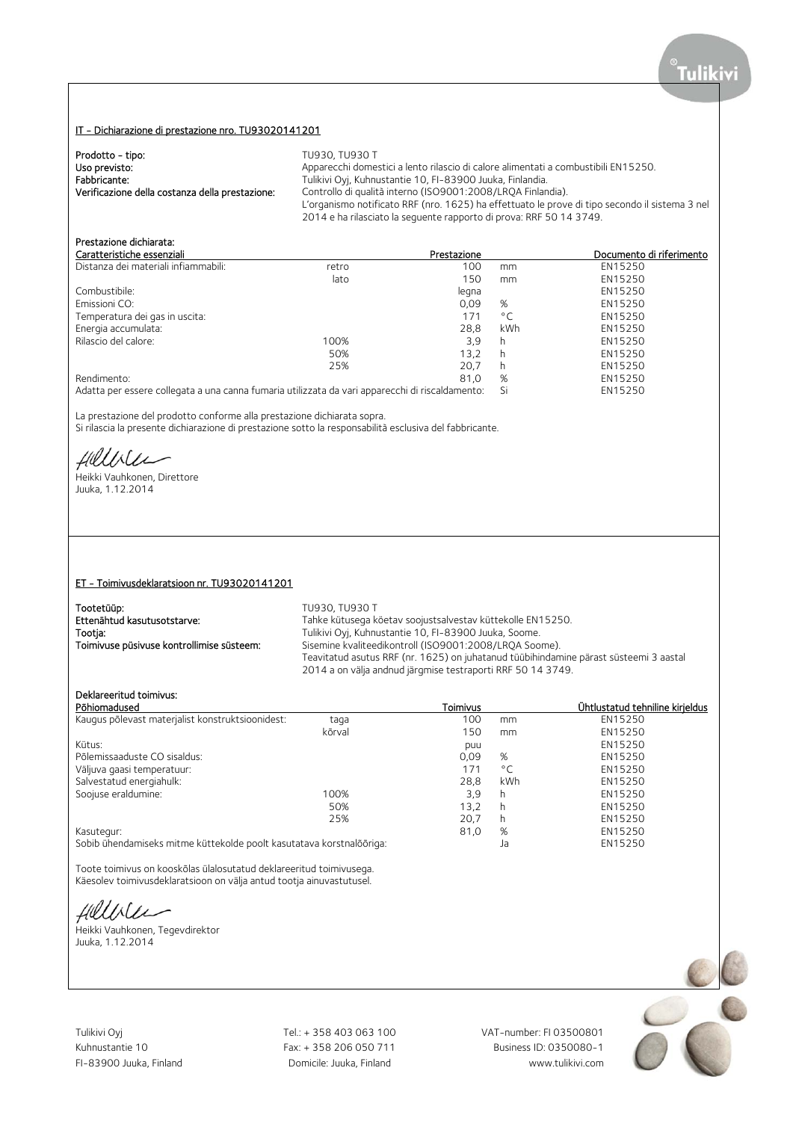## IT - Dichiarazione di prestazione nro. TU93020141201

| Prodotto - tipo:                                | TU930, TU930 T                                                                                 |
|-------------------------------------------------|------------------------------------------------------------------------------------------------|
| Uso previsto:                                   | Apparecchi domestici a lento rilascio di calore alimentati a combustibili EN15250.             |
| Fabbricante:                                    | Tulikivi Oyi, Kuhnustantie 10, FI-83900 Juuka, Finlandia.                                      |
| Verificazione della costanza della prestazione: | Controllo di qualità interno (ISO9001:2008/LROA Finlandia).                                    |
|                                                 | L'organismo notificato RRF (nro. 1625) ha effettuato le prove di tipo secondo il sistema 3 nel |
|                                                 | 2014 e ha rilasciato la seguente rapporto di prova: RRF 50 14 3749.                            |

# Prestazione dichiarata:

| Caratteristiche essenziali                                                                                                                                                                                                        |       | Prestazione |              | Documento di riferimento |
|-----------------------------------------------------------------------------------------------------------------------------------------------------------------------------------------------------------------------------------|-------|-------------|--------------|--------------------------|
| Distanza dei materiali infiammabili:                                                                                                                                                                                              | retro | 100         | mm           | EN15250                  |
|                                                                                                                                                                                                                                   | lato  | 150         | mm           | EN15250                  |
| Combustibile:                                                                                                                                                                                                                     |       | legna       |              | EN15250                  |
| Emissioni CO:                                                                                                                                                                                                                     |       | 0.09        | %            | EN15250                  |
| Temperatura dei gas in uscita:                                                                                                                                                                                                    |       | 171         | $^{\circ}$ C | EN15250                  |
| Energia accumulata:                                                                                                                                                                                                               |       | 28.8        | kWh          | EN15250                  |
| Rilascio del calore:                                                                                                                                                                                                              | 100%  | 3,9         | h            | EN15250                  |
|                                                                                                                                                                                                                                   | 50%   | 13.2        | h            | EN15250                  |
|                                                                                                                                                                                                                                   | 25%   | 20,7        | h            | EN15250                  |
| Rendimento:                                                                                                                                                                                                                       |       | 81.0        | %            | EN15250                  |
| $\mathbf{A}$ . The contract of the contract of the contract of the contract of the contract of the contract of the contract of the contract of the contract of the contract of the contract of the contract of the contract of th |       |             |              | FULLED FO                |

Adatta per essere collegata a una canna fumaria utilizzata da vari apparecchi di riscaldamento: Si EN15250

La prestazione del prodotto conforme alla prestazione dichiarata sopra.

Si rilascia la presente dichiarazione di prestazione sotto la responsabilità esclusiva del fabbricante.

Hillbler

Heikki Vauhkonen, Direttore Juuka, 1.12.2014

#### ET - Toimivusdeklaratsioon nr. TU93020141201

| Tootetüüp:                                | TU930, TU930 T                                               |
|-------------------------------------------|--------------------------------------------------------------|
| Ettenähtud kasutusotstarve:               | Tahke kütusega köetav soojustsalvestav küttekolle EN15250.   |
| Tootia:                                   | Tulikivi Oyi, Kuhnustantie 10, FI-83900 Juuka, Soome.        |
| Toimivuse püsivuse kontrollimise süsteem: | Sisemine kvaliteedikontroll (ISO9001:2008/LROA Soome).       |
|                                           | Teavitatud asutus RRF (nr. 1625) on juhatanud tüübihindamine |

ie 10. FI-83900 Juuka. Soome. roll (ISO9001:2008/LRQA Soome). nr. 1625) on juhatanud tüübihindamine pärast süsteemi 3 aastal 2014 a on välja andnud järgmise testraporti RRF 50 14 3749.

#### Deklareeritud toimivus:

| Põhiomadused                                                         |        | Toimivus |              | Ühtlustatud tehniline kirjeldus |
|----------------------------------------------------------------------|--------|----------|--------------|---------------------------------|
| Kaugus põlevast materjalist konstruktsioonidest:                     | taga   | 100      | mm           | EN15250                         |
|                                                                      | kõrval | 150      | mm           | EN15250                         |
| Kütus:                                                               |        | puu      |              | EN15250                         |
| Põlemissaaduste CO sisaldus:                                         |        | 0,09     | %            | EN15250                         |
| Väljuva gaasi temperatuur:                                           |        | 171      | $^{\circ}$ C | EN15250                         |
| Salvestatud energiahulk:                                             |        | 28.8     | kWh          | EN15250                         |
| Soojuse eraldumine:                                                  | 100%   | 3.9      | h            | EN15250                         |
|                                                                      | 50%    | 13.2     | h            | EN15250                         |
|                                                                      | 25%    | 20.7     | h            | EN15250                         |
| Kasutegur:                                                           |        | 81,0     | %            | EN15250                         |
| Sobib ühendamiseks mitme küttekolde poolt kasutatava korstnalõõriga: |        |          | Ja           | EN15250                         |

Toote toimivus on kooskõlas ülalosutatud deklareeritud toimivusega. Käesolev toimivusdeklaratsioon on välja antud tootja ainuvastutusel.

Hilliler

Heikki Vauhkonen, Tegevdirektor Juuka, 1.12.2014

Tulikivi Oyj Tel.: + 358 403 063 100 VAT-number: FI 03500801

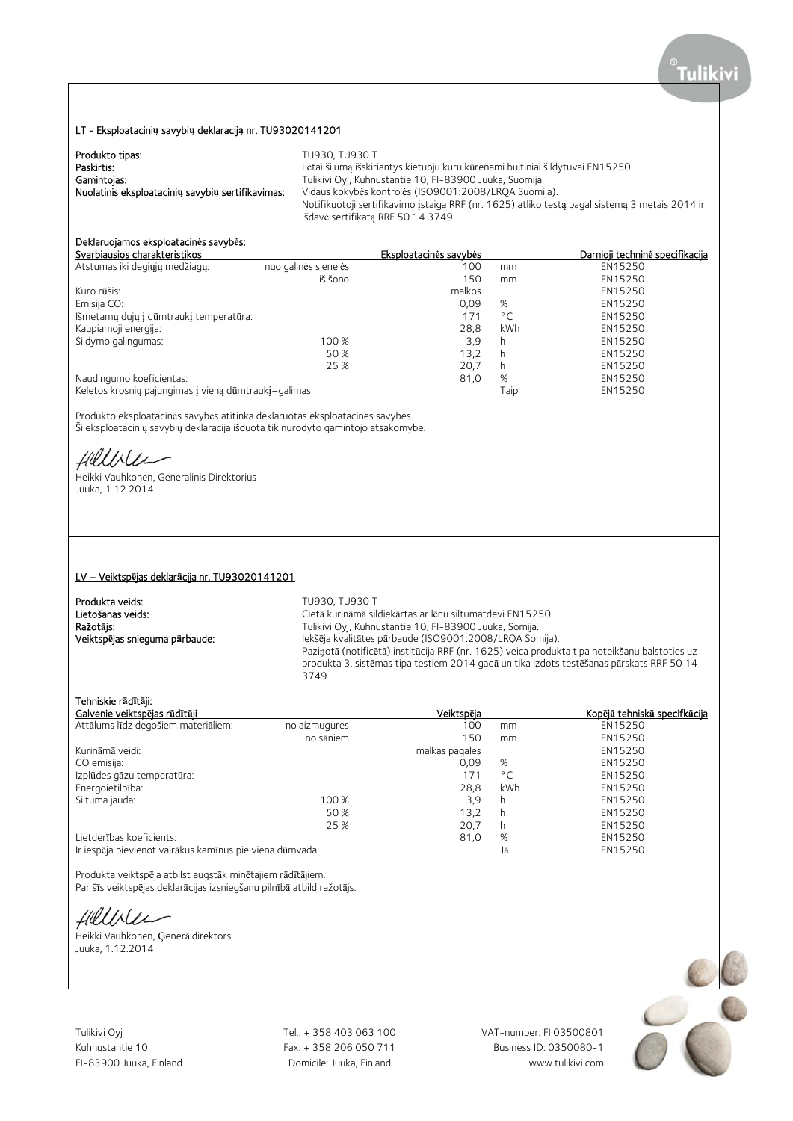## LT - Eksploatacini**ų** savybi**ų** deklaracij**ą** nr. TU93020141201

| Produkto tipas:                                   | TU930, TU930 T                                                                                 |
|---------------------------------------------------|------------------------------------------------------------------------------------------------|
| Paskirtis:                                        | Lėtai šilumą išskiriantys kietuoju kuru kūrenami buitiniai šildytuvai EN15250.                 |
| Gamintojas:                                       | Tulikivi Oyj, Kuhnustantie 10, FI-83900 Juuka, Suomija.                                        |
| Nuolatinis eksploatacinių savybių sertifikavimas: | Vidaus kokybės kontrolės (ISO9001:2008/LRQA Suomija).                                          |
|                                                   | Notifikuotoji sertifikavimo istaiga RRF (nr. 1625) atliko testa pagal sistema 3 metais 2014 ir |
|                                                   | išdavė sertifikata RRF 50 14 3749.                                                             |

# Deklaruojamos eksploatacin**ė**s savyb**ė**s:

|                                                       | Eksploatacinės savybės |              | Darnioji techninė specifikacija |
|-------------------------------------------------------|------------------------|--------------|---------------------------------|
| nuo galinės sienelės                                  | 100                    | mm           | EN15250                         |
| iš šono                                               | 150                    | mm           | EN15250                         |
|                                                       | malkos                 |              | EN15250                         |
|                                                       | 0.09                   | %            | EN15250                         |
|                                                       | 171                    | $^{\circ}$ C | EN15250                         |
|                                                       | 28.8                   | kWh          | EN15250                         |
| 100 %                                                 | 3.9                    | h            | EN15250                         |
| 50 %                                                  | 13,2                   | h            | EN15250                         |
| 25 %                                                  | 20,7                   | h            | EN15250                         |
|                                                       | 81,0                   | %            | EN15250                         |
| Keletos krosnių pajungimas į vieną dūmtraukį-galimas: |                        | Taip         | EN15250                         |
|                                                       |                        |              |                                 |

Produkto eksploatacinės savybės atitinka deklaruotas eksploatacines savybes. Ši eksploatacinių savybių deklaracija išduota tik nurodyto gamintojo atsakomybe.

fillble

Heikki Vauhkonen, Generalinis Direktorius Juuka, 1.12.2014

#### LV – Veiktsp**ē**jas deklar**ā**cija nr. TU93020141201

**Produkta veids:** TU930, TU930 T<br> **Lietošanas veids:** Text Cietā kurināmā sil

Cietā kurināmā sildiekārtas ar lēnu siltumatdevi EN15250. Ražot**ā**js: Tulikivi Oyj, Kuhnustantie 10, FI-83900 Juuka, Somija. Veiktsp**ē**jas snieguma p**ā**rbaude: Iekšēja kvalitātes pārbaude (ISO9001:2008/LRQA Somija). Paziņotā (notificētā) institūcija RRF (nr. 1625) veica produkta tipa noteikšanu balstoties uz produkta 3. sistēmas tipa testiem 2014 gadā un tika izdots testēšanas pārskats RRF 50 14 3749.

## Tehniskie r**ā**d**ī**t**ā**ji:

| Galvenie veiktspējas rādītāji                                                                                   |               | Veiktspēja     |              | Kopējā tehniskā specifkācija |
|-----------------------------------------------------------------------------------------------------------------|---------------|----------------|--------------|------------------------------|
| Attālums līdz degošiem materiāliem:                                                                             | no aizmugures | 100            | mm           | EN15250                      |
|                                                                                                                 | no sāniem     | 150            | mm           | EN15250                      |
| Kurināmā veidi:                                                                                                 |               | malkas pagales |              | EN15250                      |
| CO emisija:                                                                                                     |               | 0.09           | %            | EN15250                      |
| Izplūdes gāzu temperatūra:                                                                                      |               | 171            | $^{\circ}$ C | EN15250                      |
| Energoietilpība:                                                                                                |               | 28.8           | kWh          | EN15250                      |
| Siltuma jauda:                                                                                                  | 100 %         | 3,9            | h            | EN15250                      |
|                                                                                                                 | 50 %          | 13.2           | h            | EN15250                      |
|                                                                                                                 | 25 %          | 20.7           | h            | EN15250                      |
| Lietderības koeficients:                                                                                        |               | 81,0           | %            | EN15250                      |
| the former than a fact the angle of the first product and contract and the second second second second second s |               |                | $1 =$        | <b>FMAFSEQ</b>               |

Ir iespēja pievienot vairākus kamīnus pie viena dūmvada: Jā EN15250

Produkta veiktspēja atbilst augstāk minētajiem rādītājiem. Par šīs veiktspējas deklarācijas izsniegšanu pilnībā atbild ražotājs.

fillile

Heikki Vauhkonen, Ģenerāldirektors Juuka, 1.12.2014

Tulikivi Oyj Tel.: + 358 403 063 100 VAT-number: FI 03500801

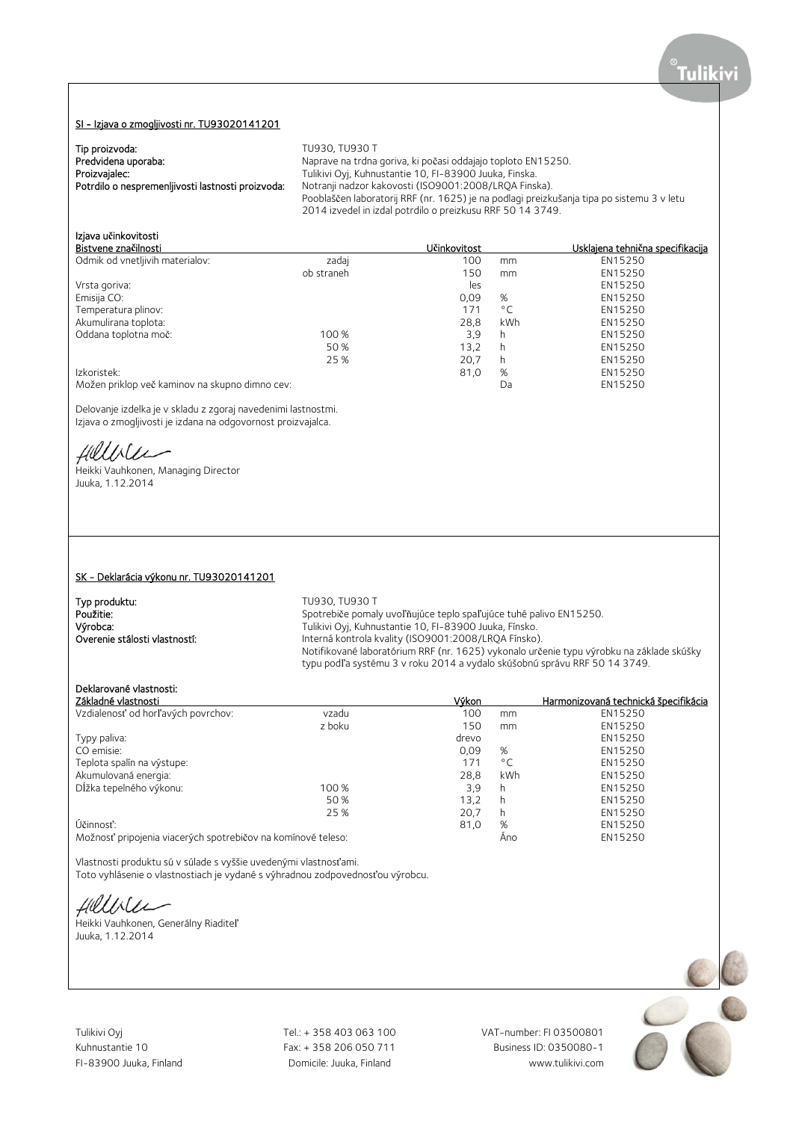## SI - Izjava o zmogljivosti nr. TU93020141201

| Tip proizvoda:                                    | TU930, TU930 T                                                                            |
|---------------------------------------------------|-------------------------------------------------------------------------------------------|
| Predvidena uporaba:                               | Naprave na trdna goriva, ki počasi oddajajo toploto EN15250.                              |
| Proizvajalec:                                     | Tulikivi Oyj, Kuhnustantie 10, FI-83900 Juuka, Finska.                                    |
| Potrdilo o nespremenliivosti lastnosti proizvoda: | Notranji nadzor kakovosti (ISO9001:2008/LRQA Finska).                                     |
|                                                   | Pooblaščen laboratorij RRF (nr. 1625) je na podlagi preizkušanja tipa po sistemu 3 v letu |
|                                                   | 2014 izvedel in izdal potrdilo o preizkusu RRF 50 14 3749.                                |
|                                                   |                                                                                           |

# Izjava u**č**inkovitosti

| Bistvene značilnosti                           |            | Učinkovitost |              | Usklajena tehnična specifikacija |
|------------------------------------------------|------------|--------------|--------------|----------------------------------|
| Odmik od vnetljivih materialov:                | zadaj      | 100          | mm           | EN15250                          |
|                                                | ob straneh | 150          | mm           | EN15250                          |
| Vrsta goriva:                                  |            | les          |              | EN15250                          |
| Emisija CO:                                    |            | 0,09         | %            | EN15250                          |
| Temperatura plinov:                            |            | 171          | $^{\circ}$ C | EN15250                          |
| Akumulirana toplota:                           |            | 28.8         | kWh          | EN15250                          |
| Oddana toplotna moč:                           | 100 %      | 3.9          | h            | EN15250                          |
|                                                | 50 %       | 13.2         | h            | EN15250                          |
|                                                | 25 %       | 20.7         | h            | EN15250                          |
| Izkoristek:                                    |            | 81.0         | %            | EN15250                          |
| Možen priklop več kaminov na skupno dimno cev: |            |              | Da           | EN15250                          |

Delovanje izdelka je v skladu z zgoraj navedenimi lastnostmi. Izjava o zmogljivosti je izdana na odgovornost proizvajalca.

HUULLEE<br>Heikki Vauhkonen, Managing Director

Juuka, 1.12.2014

#### SK - Deklarácia výkonu nr. TU93020141201

Typ produktu:<br>Použitie: TU930, TU930 T Použitie: Spotrebiče pomaly uvoľňujúce teplo spaľujúce tuhé palivo EN15250. **Výrobca:** Tulikivi Oyj, Kuhnustantie 10, FI-83900 Juuka, Fínsko. Overenie stálosti vlastností: Interná kontrola kvality (ISO9001:2008/LRQA Fínsko). Notifikované laboratórium RRF (nr. 1625) vykonalo určenie typu výrobku na základe skúšky typu podľa systému 3 v roku 2014 a vydalo skúšobnú správu RRF 50 14 3749.

## Deklarované vlastnosti:

|       | mm           | EN15250 |
|-------|--------------|---------|
| 150   | mm           | EN15250 |
| drevo |              | EN15250 |
| 0,09  | %            | EN15250 |
| 171   | $^{\circ}$ C | EN15250 |
| 28,8  | kWh          | EN15250 |
| 3.9   | h            | EN15250 |
| 13.2  | h            | EN15250 |
| 20.7  | h            | EN15250 |
| 81,0  | %            | EN15250 |
|       | Ano          | EN15250 |
|       | 100          |         |

Vlastnosti produktu sú v súlade s vyššie uvedenými vlastnosťami. Toto vyhlásenie o vlastnostiach je vydané s výhradnou zodpovednosťou výrobcu.

Hillble

Heikki Vauhkonen, Generálny Riaditeľ Juuka, 1.12.2014

Tulikivi Oyj **Tel.: + 358 403 063 100** VAT-number: FI 03500801